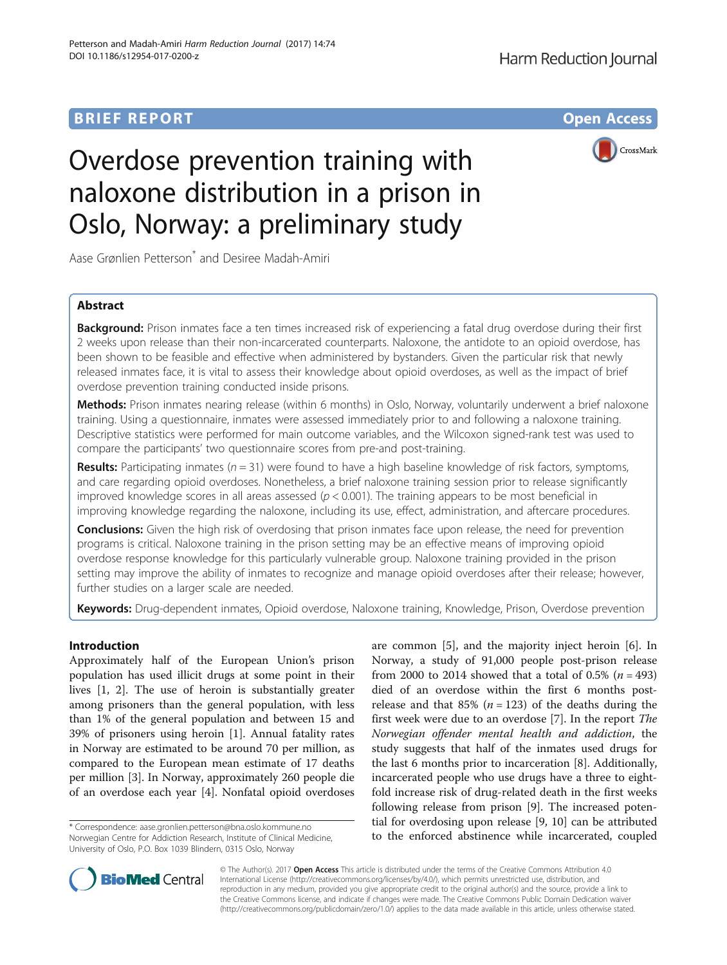# **BRIEF REPORT CONSTRUCTION CONSTRUCTION CONSTRUCTS**



# Overdose prevention training with naloxone distribution in a prison in Oslo, Norway: a preliminary study

Aase Grønlien Petterson<sup>\*</sup> and Desiree Madah-Amiri

# Abstract

Background: Prison inmates face a ten times increased risk of experiencing a fatal drug overdose during their first 2 weeks upon release than their non-incarcerated counterparts. Naloxone, the antidote to an opioid overdose, has been shown to be feasible and effective when administered by bystanders. Given the particular risk that newly released inmates face, it is vital to assess their knowledge about opioid overdoses, as well as the impact of brief overdose prevention training conducted inside prisons.

Methods: Prison inmates nearing release (within 6 months) in Oslo, Norway, voluntarily underwent a brief naloxone training. Using a questionnaire, inmates were assessed immediately prior to and following a naloxone training. Descriptive statistics were performed for main outcome variables, and the Wilcoxon signed-rank test was used to compare the participants' two questionnaire scores from pre-and post-training.

**Results:** Participating inmates ( $n = 31$ ) were found to have a high baseline knowledge of risk factors, symptoms, and care regarding opioid overdoses. Nonetheless, a brief naloxone training session prior to release significantly improved knowledge scores in all areas assessed ( $p < 0.001$ ). The training appears to be most beneficial in improving knowledge regarding the naloxone, including its use, effect, administration, and aftercare procedures.

**Conclusions:** Given the high risk of overdosing that prison inmates face upon release, the need for prevention programs is critical. Naloxone training in the prison setting may be an effective means of improving opioid overdose response knowledge for this particularly vulnerable group. Naloxone training provided in the prison setting may improve the ability of inmates to recognize and manage opioid overdoses after their release; however, further studies on a larger scale are needed.

Keywords: Drug-dependent inmates, Opioid overdose, Naloxone training, Knowledge, Prison, Overdose prevention

## Introduction

Approximately half of the European Union's prison population has used illicit drugs at some point in their lives [[1, 2\]](#page-5-0). The use of heroin is substantially greater among prisoners than the general population, with less than 1% of the general population and between 15 and 39% of prisoners using heroin [[1\]](#page-5-0). Annual fatality rates in Norway are estimated to be around 70 per million, as compared to the European mean estimate of 17 deaths per million [[3\]](#page-5-0). In Norway, approximately 260 people die of an overdose each year [[4\]](#page-5-0). Nonfatal opioid overdoses

Norwegian Centre for Addiction Research, Institute of Clinical Medicine, University of Oslo, P.O. Box 1039 Blindern, 0315 Oslo, Norway

are common [\[5](#page-5-0)], and the majority inject heroin [\[6](#page-5-0)]. In Norway, a study of 91,000 people post-prison release from 2000 to 2014 showed that a total of 0.5% ( $n = 493$ ) died of an overdose within the first 6 months postrelease and that 85% ( $n = 123$ ) of the deaths during the first week were due to an overdose [[7\]](#page-5-0). In the report The Norwegian offender mental health and addiction, the study suggests that half of the inmates used drugs for the last 6 months prior to incarceration [\[8](#page-5-0)]. Additionally, incarcerated people who use drugs have a three to eightfold increase risk of drug-related death in the first weeks following release from prison [[9\]](#page-5-0). The increased potential for overdosing upon release [[9, 10\]](#page-5-0) can be attributed the torrespondence: [aase.gronlien.petterson@bna.oslo.kommune.no](mailto:aase.gronlien.petterson@bna.oslo.kommune.no)<br>Norwegian Centre for Addiction Research. Institute of Clinical Medicine. **to the enforced abstinence while incarcerated, coupled** 



© The Author(s). 2017 **Open Access** This article is distributed under the terms of the Creative Commons Attribution 4.0 International License [\(http://creativecommons.org/licenses/by/4.0/](http://creativecommons.org/licenses/by/4.0/)), which permits unrestricted use, distribution, and reproduction in any medium, provided you give appropriate credit to the original author(s) and the source, provide a link to the Creative Commons license, and indicate if changes were made. The Creative Commons Public Domain Dedication waiver [\(http://creativecommons.org/publicdomain/zero/1.0/](http://creativecommons.org/publicdomain/zero/1.0/)) applies to the data made available in this article, unless otherwise stated.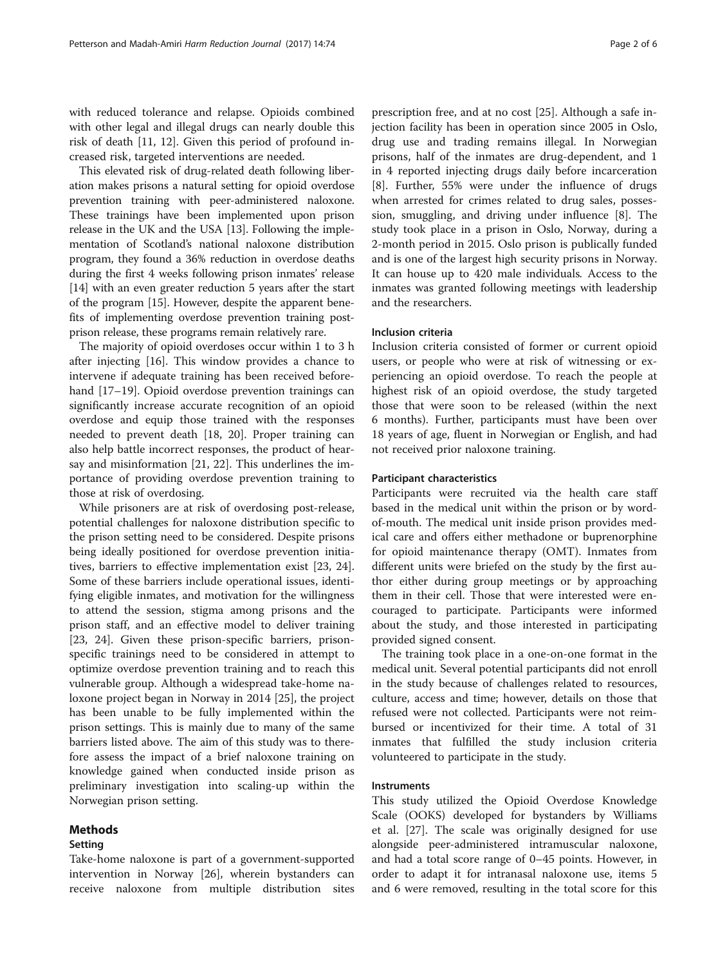with reduced tolerance and relapse. Opioids combined with other legal and illegal drugs can nearly double this risk of death [[11, 12](#page-5-0)]. Given this period of profound increased risk, targeted interventions are needed.

This elevated risk of drug-related death following liberation makes prisons a natural setting for opioid overdose prevention training with peer-administered naloxone. These trainings have been implemented upon prison release in the UK and the USA [[13](#page-5-0)]. Following the implementation of Scotland's national naloxone distribution program, they found a 36% reduction in overdose deaths during the first 4 weeks following prison inmates' release [[14](#page-5-0)] with an even greater reduction 5 years after the start of the program [\[15\]](#page-5-0). However, despite the apparent benefits of implementing overdose prevention training postprison release, these programs remain relatively rare.

The majority of opioid overdoses occur within 1 to 3 h after injecting [[16](#page-5-0)]. This window provides a chance to intervene if adequate training has been received before-hand [[17](#page-5-0)–[19](#page-5-0)]. Opioid overdose prevention trainings can significantly increase accurate recognition of an opioid overdose and equip those trained with the responses needed to prevent death [\[18, 20\]](#page-5-0). Proper training can also help battle incorrect responses, the product of hearsay and misinformation [[21, 22\]](#page-5-0). This underlines the importance of providing overdose prevention training to those at risk of overdosing.

While prisoners are at risk of overdosing post-release, potential challenges for naloxone distribution specific to the prison setting need to be considered. Despite prisons being ideally positioned for overdose prevention initiatives, barriers to effective implementation exist [[23, 24](#page-5-0)]. Some of these barriers include operational issues, identifying eligible inmates, and motivation for the willingness to attend the session, stigma among prisons and the prison staff, and an effective model to deliver training [[23, 24\]](#page-5-0). Given these prison-specific barriers, prisonspecific trainings need to be considered in attempt to optimize overdose prevention training and to reach this vulnerable group. Although a widespread take-home naloxone project began in Norway in 2014 [\[25\]](#page-5-0), the project has been unable to be fully implemented within the prison settings. This is mainly due to many of the same barriers listed above. The aim of this study was to therefore assess the impact of a brief naloxone training on knowledge gained when conducted inside prison as preliminary investigation into scaling-up within the Norwegian prison setting.

## Methods

#### Setting

Take-home naloxone is part of a government-supported intervention in Norway [[26](#page-5-0)], wherein bystanders can receive naloxone from multiple distribution sites

prescription free, and at no cost [[25\]](#page-5-0). Although a safe injection facility has been in operation since 2005 in Oslo, drug use and trading remains illegal. In Norwegian prisons, half of the inmates are drug-dependent, and 1 in 4 reported injecting drugs daily before incarceration [[8\]](#page-5-0). Further, 55% were under the influence of drugs when arrested for crimes related to drug sales, possession, smuggling, and driving under influence [\[8\]](#page-5-0). The study took place in a prison in Oslo, Norway, during a 2-month period in 2015. Oslo prison is publically funded and is one of the largest high security prisons in Norway. It can house up to 420 male individuals. Access to the inmates was granted following meetings with leadership and the researchers.

## Inclusion criteria

Inclusion criteria consisted of former or current opioid users, or people who were at risk of witnessing or experiencing an opioid overdose. To reach the people at highest risk of an opioid overdose, the study targeted those that were soon to be released (within the next 6 months). Further, participants must have been over 18 years of age, fluent in Norwegian or English, and had not received prior naloxone training.

## Participant characteristics

Participants were recruited via the health care staff based in the medical unit within the prison or by wordof-mouth. The medical unit inside prison provides medical care and offers either methadone or buprenorphine for opioid maintenance therapy (OMT). Inmates from different units were briefed on the study by the first author either during group meetings or by approaching them in their cell. Those that were interested were encouraged to participate. Participants were informed about the study, and those interested in participating provided signed consent.

The training took place in a one-on-one format in the medical unit. Several potential participants did not enroll in the study because of challenges related to resources, culture, access and time; however, details on those that refused were not collected. Participants were not reimbursed or incentivized for their time. A total of 31 inmates that fulfilled the study inclusion criteria volunteered to participate in the study.

## Instruments

This study utilized the Opioid Overdose Knowledge Scale (OOKS) developed for bystanders by Williams et al. [[27](#page-5-0)]. The scale was originally designed for use alongside peer-administered intramuscular naloxone, and had a total score range of 0–45 points. However, in order to adapt it for intranasal naloxone use, items 5 and 6 were removed, resulting in the total score for this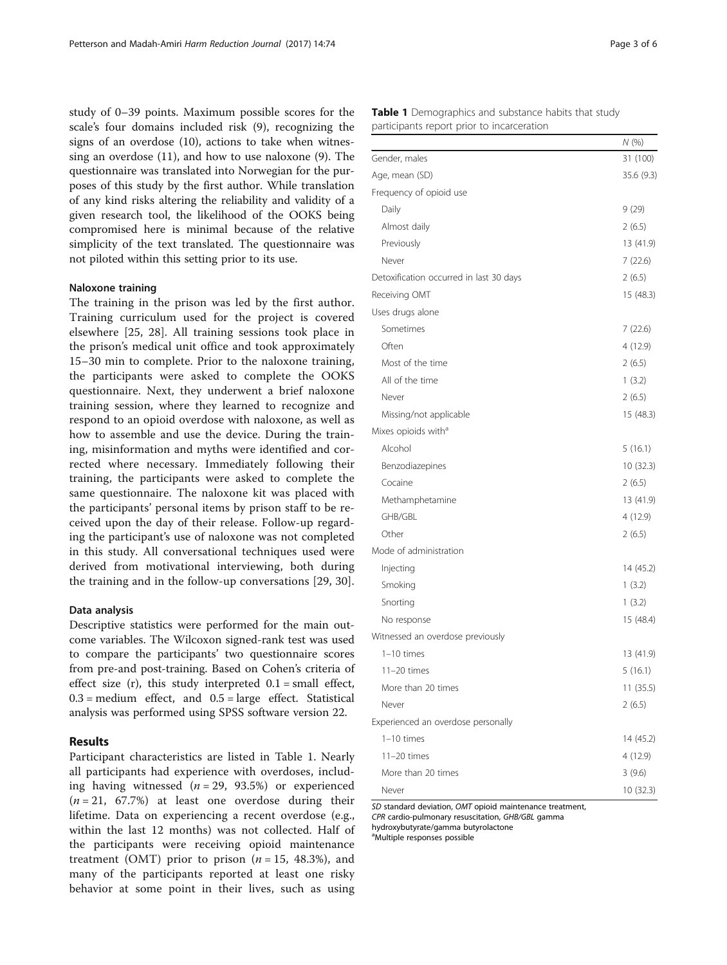study of 0–39 points. Maximum possible scores for the scale's four domains included risk (9), recognizing the signs of an overdose (10), actions to take when witnessing an overdose (11), and how to use naloxone (9). The questionnaire was translated into Norwegian for the purposes of this study by the first author. While translation of any kind risks altering the reliability and validity of a given research tool, the likelihood of the OOKS being compromised here is minimal because of the relative simplicity of the text translated. The questionnaire was not piloted within this setting prior to its use.

## Naloxone training

The training in the prison was led by the first author. Training curriculum used for the project is covered elsewhere [[25, 28\]](#page-5-0). All training sessions took place in the prison's medical unit office and took approximately 15–30 min to complete. Prior to the naloxone training, the participants were asked to complete the OOKS questionnaire. Next, they underwent a brief naloxone training session, where they learned to recognize and respond to an opioid overdose with naloxone, as well as how to assemble and use the device. During the training, misinformation and myths were identified and corrected where necessary. Immediately following their training, the participants were asked to complete the same questionnaire. The naloxone kit was placed with the participants' personal items by prison staff to be received upon the day of their release. Follow-up regarding the participant's use of naloxone was not completed in this study. All conversational techniques used were derived from motivational interviewing, both during the training and in the follow-up conversations [[29, 30\]](#page-5-0).

## Data analysis

Descriptive statistics were performed for the main outcome variables. The Wilcoxon signed-rank test was used to compare the participants' two questionnaire scores from pre-and post-training. Based on Cohen's criteria of effect size  $(r)$ , this study interpreted  $0.1$  = small effect,  $0.3$  = medium effect, and  $0.5$  = large effect. Statistical analysis was performed using SPSS software version 22.

## Results

Participant characteristics are listed in Table 1. Nearly all participants had experience with overdoses, including having witnessed  $(n = 29, 93.5%)$  or experienced  $(n = 21, 67.7%)$  at least one overdose during their lifetime. Data on experiencing a recent overdose (e.g., within the last 12 months) was not collected. Half of the participants were receiving opioid maintenance treatment (OMT) prior to prison  $(n = 15, 48.3\%)$ , and many of the participants reported at least one risky behavior at some point in their lives, such as using

|                                         | N (%)      |
|-----------------------------------------|------------|
| Gender, males                           | 31 (100)   |
| Age, mean (SD)                          | 35.6 (9.3) |
| Frequency of opioid use                 |            |
| Daily                                   | 9 (29)     |
| Almost daily                            | 2(6.5)     |
| Previously                              | 13 (41.9)  |
| Never                                   | 7 (22.6)   |
| Detoxification occurred in last 30 days | 2(6.5)     |
| Receiving OMT                           | 15 (48.3)  |
| Uses drugs alone                        |            |
| Sometimes                               | 7 (22.6)   |
| Often                                   | 4 (12.9)   |
| Most of the time                        | 2(6.5)     |
| All of the time                         | 1(3.2)     |
| Never                                   | 2(6.5)     |
| Missing/not applicable                  | 15 (48.3)  |
| Mixes opioids with <sup>a</sup>         |            |
| Alcohol                                 | 5(16.1)    |
| Benzodiazepines                         | 10(32.3)   |
| Cocaine                                 | 2(6.5)     |
| Methamphetamine                         | 13 (41.9)  |
| GHB/GBL                                 | 4(12.9)    |
| Other                                   | 2(6.5)     |
| Mode of administration                  |            |
| Injecting                               | 14 (45.2)  |
| Smoking                                 | 1(3.2)     |
| Snorting                                | 1(3.2)     |
| No response                             | 15 (48.4)  |
| Witnessed an overdose previously        |            |
| $1-10$ times                            | 13 (41.9)  |
| $11-20$ times                           | 5 (16.1)   |
| More than 20 times                      | 11 (35.5)  |
| Never                                   | 2(6.5)     |
| Experienced an overdose personally      |            |
| $1-10$ times                            | 14 (45.2)  |
| 11-20 times                             | 4 (12.9)   |
| More than 20 times                      | 3(9.6)     |
| Never                                   | 10(32.3)   |

SD standard deviation, OMT opioid maintenance treatment,

CPR cardio-pulmonary resuscitation, GHB/GBL gamma

hydroxybutyrate/gamma butyrolactone

<sup>a</sup>Multiple responses possible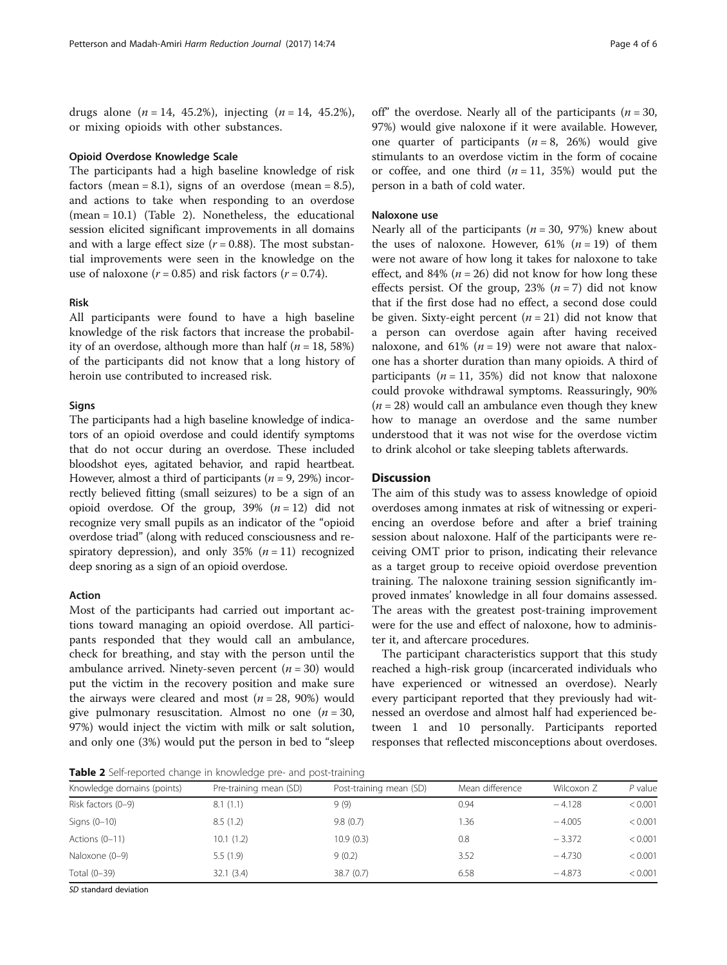drugs alone  $(n = 14, 45.2\%)$ , injecting  $(n = 14, 45.2\%)$ , or mixing opioids with other substances.

## Opioid Overdose Knowledge Scale

The participants had a high baseline knowledge of risk factors (mean = 8.1), signs of an overdose (mean = 8.5), and actions to take when responding to an overdose (mean = 10.1) (Table 2). Nonetheless, the educational session elicited significant improvements in all domains and with a large effect size  $(r = 0.88)$ . The most substantial improvements were seen in the knowledge on the use of naloxone ( $r = 0.85$ ) and risk factors ( $r = 0.74$ ).

## Risk

All participants were found to have a high baseline knowledge of the risk factors that increase the probability of an overdose, although more than half ( $n = 18, 58\%)$ of the participants did not know that a long history of heroin use contributed to increased risk.

## **Signs**

The participants had a high baseline knowledge of indicators of an opioid overdose and could identify symptoms that do not occur during an overdose. These included bloodshot eyes, agitated behavior, and rapid heartbeat. However, almost a third of participants ( $n = 9, 29\%$ ) incorrectly believed fitting (small seizures) to be a sign of an opioid overdose. Of the group,  $39\%$   $(n = 12)$  did not recognize very small pupils as an indicator of the "opioid overdose triad" (along with reduced consciousness and respiratory depression), and only 35%  $(n = 11)$  recognized deep snoring as a sign of an opioid overdose.

## Action

Most of the participants had carried out important actions toward managing an opioid overdose. All participants responded that they would call an ambulance, check for breathing, and stay with the person until the ambulance arrived. Ninety-seven percent  $(n = 30)$  would put the victim in the recovery position and make sure the airways were cleared and most ( $n = 28$ , 90%) would give pulmonary resuscitation. Almost no one  $(n = 30)$ , 97%) would inject the victim with milk or salt solution, and only one (3%) would put the person in bed to "sleep

Table 2 Self-reported change in knowledge pre- and post-training

off" the overdose. Nearly all of the participants ( $n = 30$ , 97%) would give naloxone if it were available. However, one quarter of participants  $(n = 8, 26%)$  would give stimulants to an overdose victim in the form of cocaine or coffee, and one third  $(n = 11, 35%)$  would put the person in a bath of cold water.

## Naloxone use

Nearly all of the participants  $(n = 30, 97%)$  knew about the uses of naloxone. However,  $61\%$  ( $n = 19$ ) of them were not aware of how long it takes for naloxone to take effect, and 84% ( $n = 26$ ) did not know for how long these effects persist. Of the group, 23%  $(n = 7)$  did not know that if the first dose had no effect, a second dose could be given. Sixty-eight percent  $(n = 21)$  did not know that a person can overdose again after having received naloxone, and 61% ( $n = 19$ ) were not aware that naloxone has a shorter duration than many opioids. A third of participants ( $n = 11, 35\%$ ) did not know that naloxone could provoke withdrawal symptoms. Reassuringly, 90%  $(n = 28)$  would call an ambulance even though they knew how to manage an overdose and the same number understood that it was not wise for the overdose victim to drink alcohol or take sleeping tablets afterwards.

## **Discussion**

The aim of this study was to assess knowledge of opioid overdoses among inmates at risk of witnessing or experiencing an overdose before and after a brief training session about naloxone. Half of the participants were receiving OMT prior to prison, indicating their relevance as a target group to receive opioid overdose prevention training. The naloxone training session significantly improved inmates' knowledge in all four domains assessed. The areas with the greatest post-training improvement were for the use and effect of naloxone, how to administer it, and aftercare procedures.

The participant characteristics support that this study reached a high-risk group (incarcerated individuals who have experienced or witnessed an overdose). Nearly every participant reported that they previously had witnessed an overdose and almost half had experienced between 1 and 10 personally. Participants reported responses that reflected misconceptions about overdoses.

| Knowledge domains (points) | Pre-training mean (SD) | Post-training mean (SD) | Mean difference | Wilcoxon Z | $P$ value |  |
|----------------------------|------------------------|-------------------------|-----------------|------------|-----------|--|
| Risk factors (0-9)         | 8.1(1.1)               | 9(9)                    | 0.94            | $-4.128$   | < 0.001   |  |
| Signs $(0-10)$             | 8.5(1.2)               | 9.8(0.7)                | 1.36            | $-4.005$   | < 0.001   |  |
| Actions (0-11)             | 10.1(1.2)              | 10.9(0.3)               | 0.8             | $-3.372$   | < 0.001   |  |
| Naloxone (0-9)             | 5.5(1.9)               | 9(0.2)                  | 3.52            | $-4.730$   | < 0.001   |  |
| Total $(0-39)$             | 32.1(3.4)              | 38.7(0.7)               | 6.58            | $-4.873$   | < 0.001   |  |
|                            |                        |                         |                 |            |           |  |

SD standard deviation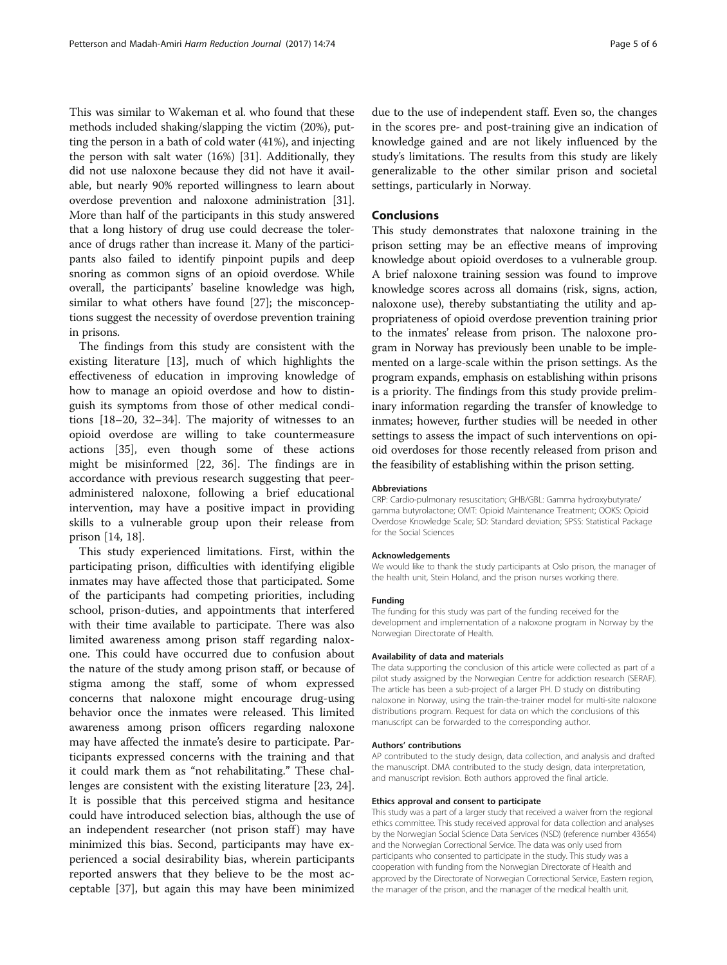This was similar to Wakeman et al. who found that these methods included shaking/slapping the victim (20%), putting the person in a bath of cold water (41%), and injecting the person with salt water (16%) [[31](#page-5-0)]. Additionally, they did not use naloxone because they did not have it available, but nearly 90% reported willingness to learn about overdose prevention and naloxone administration [[31](#page-5-0)]. More than half of the participants in this study answered that a long history of drug use could decrease the tolerance of drugs rather than increase it. Many of the participants also failed to identify pinpoint pupils and deep snoring as common signs of an opioid overdose. While overall, the participants' baseline knowledge was high, similar to what others have found [[27\]](#page-5-0); the misconceptions suggest the necessity of overdose prevention training in prisons.

The findings from this study are consistent with the existing literature [[13](#page-5-0)], much of which highlights the effectiveness of education in improving knowledge of how to manage an opioid overdose and how to distinguish its symptoms from those of other medical conditions [[18](#page-5-0)–[20](#page-5-0), [32](#page-5-0)–[34\]](#page-5-0). The majority of witnesses to an opioid overdose are willing to take countermeasure actions [\[35](#page-5-0)], even though some of these actions might be misinformed [[22](#page-5-0), [36\]](#page-5-0). The findings are in accordance with previous research suggesting that peeradministered naloxone, following a brief educational intervention, may have a positive impact in providing skills to a vulnerable group upon their release from prison [[14](#page-5-0), [18](#page-5-0)].

This study experienced limitations. First, within the participating prison, difficulties with identifying eligible inmates may have affected those that participated. Some of the participants had competing priorities, including school, prison-duties, and appointments that interfered with their time available to participate. There was also limited awareness among prison staff regarding naloxone. This could have occurred due to confusion about the nature of the study among prison staff, or because of stigma among the staff, some of whom expressed concerns that naloxone might encourage drug-using behavior once the inmates were released. This limited awareness among prison officers regarding naloxone may have affected the inmate's desire to participate. Participants expressed concerns with the training and that it could mark them as "not rehabilitating." These challenges are consistent with the existing literature [\[23](#page-5-0), [24](#page-5-0)]. It is possible that this perceived stigma and hesitance could have introduced selection bias, although the use of an independent researcher (not prison staff) may have minimized this bias. Second, participants may have experienced a social desirability bias, wherein participants reported answers that they believe to be the most acceptable [[37\]](#page-5-0), but again this may have been minimized

due to the use of independent staff. Even so, the changes in the scores pre- and post-training give an indication of knowledge gained and are not likely influenced by the study's limitations. The results from this study are likely generalizable to the other similar prison and societal settings, particularly in Norway.

## **Conclusions**

This study demonstrates that naloxone training in the prison setting may be an effective means of improving knowledge about opioid overdoses to a vulnerable group. A brief naloxone training session was found to improve knowledge scores across all domains (risk, signs, action, naloxone use), thereby substantiating the utility and appropriateness of opioid overdose prevention training prior to the inmates' release from prison. The naloxone program in Norway has previously been unable to be implemented on a large-scale within the prison settings. As the program expands, emphasis on establishing within prisons is a priority. The findings from this study provide preliminary information regarding the transfer of knowledge to inmates; however, further studies will be needed in other settings to assess the impact of such interventions on opioid overdoses for those recently released from prison and the feasibility of establishing within the prison setting.

#### Abbreviations

CRP: Cardio-pulmonary resuscitation; GHB/GBL: Gamma hydroxybutyrate/ gamma butyrolactone; OMT: Opioid Maintenance Treatment; OOKS: Opioid Overdose Knowledge Scale; SD: Standard deviation; SPSS: Statistical Package for the Social Sciences

#### Acknowledgements

We would like to thank the study participants at Oslo prison, the manager of the health unit, Stein Holand, and the prison nurses working there.

#### Funding

The funding for this study was part of the funding received for the development and implementation of a naloxone program in Norway by the Norwegian Directorate of Health.

#### Availability of data and materials

The data supporting the conclusion of this article were collected as part of a pilot study assigned by the Norwegian Centre for addiction research (SERAF). The article has been a sub-project of a larger PH. D study on distributing naloxone in Norway, using the train-the-trainer model for multi-site naloxone distributions program. Request for data on which the conclusions of this manuscript can be forwarded to the corresponding author.

#### Authors' contributions

AP contributed to the study design, data collection, and analysis and drafted the manuscript. DMA contributed to the study design, data interpretation, and manuscript revision. Both authors approved the final article.

#### Ethics approval and consent to participate

This study was a part of a larger study that received a waiver from the regional ethics committee. This study received approval for data collection and analyses by the Norwegian Social Science Data Services (NSD) (reference number 43654) and the Norwegian Correctional Service. The data was only used from participants who consented to participate in the study. This study was a cooperation with funding from the Norwegian Directorate of Health and approved by the Directorate of Norwegian Correctional Service, Eastern region, the manager of the prison, and the manager of the medical health unit.